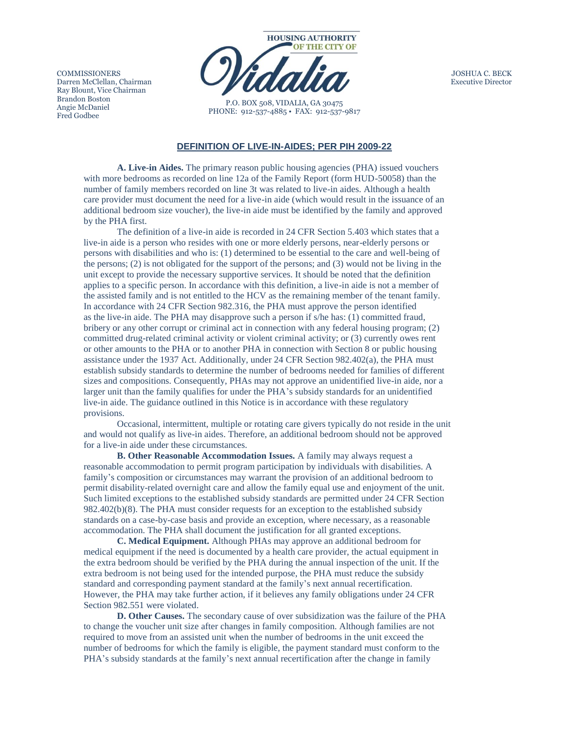**COMMISSIONERS** Darren McClellan, Chairman Ray Blount, Vice Chairman Brandon Boston Angie McDaniel Fred Godbee



P.O. BOX 508, VIDALIA, GA 30475 PHONE: 912-537-4885 • FAX: 912-537-9817 JOSHUA C. BECK Executive Director

## **DEFINITION OF LIVE-IN-AIDES; PER PIH 2009-22**

**A. Live-in Aides.** The primary reason public housing agencies (PHA) issued vouchers with more bedrooms as recorded on line 12a of the Family Report (form HUD-50058) than the number of family members recorded on line 3t was related to live-in aides. Although a health care provider must document the need for a live-in aide (which would result in the issuance of an additional bedroom size voucher), the live-in aide must be identified by the family and approved by the PHA first.

The definition of a live-in aide is recorded in 24 CFR Section 5.403 which states that a live-in aide is a person who resides with one or more elderly persons, near-elderly persons or persons with disabilities and who is: (1) determined to be essential to the care and well-being of the persons; (2) is not obligated for the support of the persons; and (3) would not be living in the unit except to provide the necessary supportive services. It should be noted that the definition applies to a specific person. In accordance with this definition, a live-in aide is not a member of the assisted family and is not entitled to the HCV as the remaining member of the tenant family. In accordance with 24 CFR Section 982.316, the PHA must approve the person identified as the live-in aide. The PHA may disapprove such a person if s/he has: (1) committed fraud, bribery or any other corrupt or criminal act in connection with any federal housing program; (2) committed drug-related criminal activity or violent criminal activity; or (3) currently owes rent or other amounts to the PHA or to another PHA in connection with Section 8 or public housing assistance under the 1937 Act. Additionally, under 24 CFR Section 982.402(a), the PHA must establish subsidy standards to determine the number of bedrooms needed for families of different sizes and compositions. Consequently, PHAs may not approve an unidentified live-in aide, nor a larger unit than the family qualifies for under the PHA's subsidy standards for an unidentified live-in aide. The guidance outlined in this Notice is in accordance with these regulatory provisions.

Occasional, intermittent, multiple or rotating care givers typically do not reside in the unit and would not qualify as live-in aides. Therefore, an additional bedroom should not be approved for a live-in aide under these circumstances.

**B. Other Reasonable Accommodation Issues.** A family may always request a reasonable accommodation to permit program participation by individuals with disabilities. A family's composition or circumstances may warrant the provision of an additional bedroom to permit disability-related overnight care and allow the family equal use and enjoyment of the unit. Such limited exceptions to the established subsidy standards are permitted under 24 CFR Section 982.402(b)(8). The PHA must consider requests for an exception to the established subsidy standards on a case-by-case basis and provide an exception, where necessary, as a reasonable accommodation. The PHA shall document the justification for all granted exceptions.

**C. Medical Equipment.** Although PHAs may approve an additional bedroom for medical equipment if the need is documented by a health care provider, the actual equipment in the extra bedroom should be verified by the PHA during the annual inspection of the unit. If the extra bedroom is not being used for the intended purpose, the PHA must reduce the subsidy standard and corresponding payment standard at the family's next annual recertification. However, the PHA may take further action, if it believes any family obligations under 24 CFR Section 982.551 were violated.

**D. Other Causes.** The secondary cause of over subsidization was the failure of the PHA to change the voucher unit size after changes in family composition. Although families are not required to move from an assisted unit when the number of bedrooms in the unit exceed the number of bedrooms for which the family is eligible, the payment standard must conform to the PHA's subsidy standards at the family's next annual recertification after the change in family